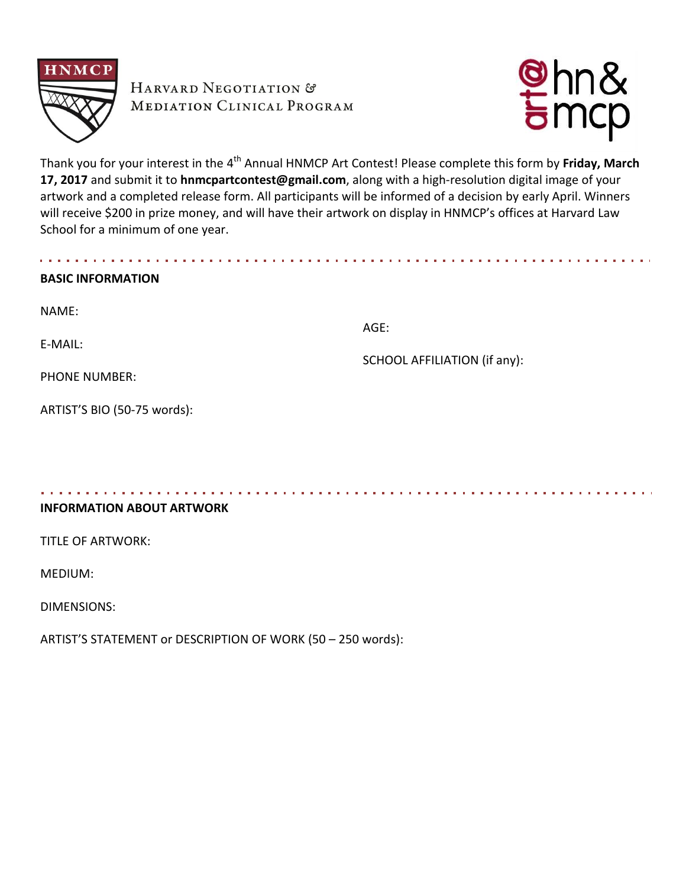

HARVARD NEGOTIATION & **MEDIATION CLINICAL PROGRAM** 



Thank you for your interest in the 4<sup>th</sup> Annual HNMCP Art Contest! Please complete this form by **Friday, March 17, 2017** and submit it to **hnmcpartcontest@gmail.com**, along with a high-resolution digital image of your artwork and a completed release form. All participants will be informed of a decision by early April. Winners will receive \$200 in prize money, and will have their artwork on display in HNMCP's offices at Harvard Law School for a minimum of one year.

| <b>BASIC INFORMATION</b>    |                              |
|-----------------------------|------------------------------|
| NAME:                       |                              |
| E-MAIL:                     | AGE:                         |
|                             | SCHOOL AFFILIATION (if any): |
| <b>PHONE NUMBER:</b>        |                              |
| ARTIST'S BIO (50-75 words): |                              |

**INFORMATION ABOUT ARTWORK**

TITLE OF ARTWORK:

MEDIUM:

DIMENSIONS:

ARTIST'S STATEMENT or DESCRIPTION OF WORK (50 – 250 words):